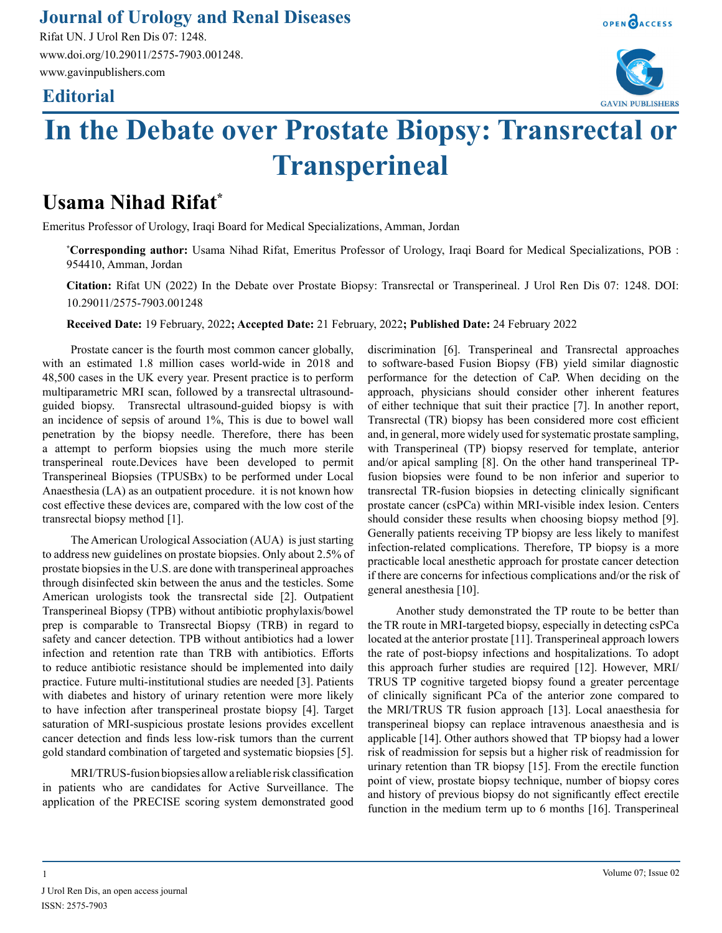## **Journal of Urology and Renal Diseases**

Rifat UN. J Urol Ren Dis 07: 1248. www.doi.org/10.29011/2575-7903.001248. www.gavinpublishers.com

## **Editorial**



**GAVIN PUBLISHERS** 

OPEN OACCESS

# **In the Debate over Prostate Biopsy: Transrectal or Transperineal**

# **Usama Nihad Rifat\***

Emeritus Professor of Urology, Iraqi Board for Medical Specializations, Amman, Jordan

**\* Corresponding author:** Usama Nihad Rifat, Emeritus Professor of Urology, Iraqi Board for Medical Specializations, POB : 954410, Amman, Jordan

**Citation:** Rifat UN (2022) In the Debate over Prostate Biopsy: Transrectal or Transperineal. J Urol Ren Dis 07: 1248. DOI: 10.29011/2575-7903.001248

**Received Date:** 19 February, 2022**; Accepted Date:** 21 February, 2022**; Published Date:** 24 February 2022

Prostate cancer is the fourth most common cancer globally, with an estimated 1.8 million cases world-wide in 2018 and 48,500 cases in the UK every year. Present practice is to perform multiparametric MRI scan, followed by a transrectal ultrasoundguided biopsy. Transrectal ultrasound-guided biopsy is with an incidence of sepsis of around 1%, This is due to bowel wall penetration by the biopsy needle. Therefore, there has been a attempt to perform biopsies using the much more sterile transperineal route.Devices have been developed to permit Transperineal Biopsies (TPUSBx) to be performed under Local Anaesthesia (LA) as an outpatient procedure. it is not known how cost effective these devices are, compared with the low cost of the transrectal biopsy method [1].

The American Urological Association (AUA) is just starting to address new guidelines on prostate biopsies. Only about 2.5% of prostate biopsies in the U.S. are done with transperineal approaches through disinfected skin between the anus and the testicles. Some American urologists took the transrectal side [2]. Outpatient Transperineal Biopsy (TPB) without antibiotic prophylaxis/bowel prep is comparable to Transrectal Biopsy (TRB) in regard to safety and cancer detection. TPB without antibiotics had a lower infection and retention rate than TRB with antibiotics. Efforts to reduce antibiotic resistance should be implemented into daily practice. Future multi-institutional studies are needed [3]. Patients with diabetes and history of urinary retention were more likely to have infection after transperineal prostate biopsy [4]. Target saturation of MRI-suspicious prostate lesions provides excellent cancer detection and finds less low-risk tumors than the current gold standard combination of targeted and systematic biopsies [5].

MRI/TRUS-fusion biopsies allow a reliable risk classification in patients who are candidates for Active Surveillance. The application of the PRECISE scoring system demonstrated good

discrimination [6]. Transperineal and Transrectal approaches to software-based Fusion Biopsy (FB) yield similar diagnostic performance for the detection of CaP. When deciding on the approach, physicians should consider other inherent features of either technique that suit their practice [7]. In another report, Transrectal (TR) biopsy has been considered more cost efficient and, in general, more widely used for systematic prostate sampling, with Transperineal (TP) biopsy reserved for template, anterior and/or apical sampling [8]. On the other hand transperineal TPfusion biopsies were found to be non inferior and superior to transrectal TR-fusion biopsies in detecting clinically significant prostate cancer (csPCa) within MRI-visible index lesion. Centers should consider these results when choosing biopsy method [9]. Generally patients receiving TP biopsy are less likely to manifest infection-related complications. Therefore, TP biopsy is a more practicable local anesthetic approach for prostate cancer detection if there are concerns for infectious complications and/or the risk of general anesthesia [10].

Another study demonstrated the TP route to be better than the TR route in MRI-targeted biopsy, especially in detecting csPCa located at the anterior prostate [11]. Transperineal approach lowers the rate of post-biopsy infections and hospitalizations. To adopt this approach furher studies are required [12]. However, MRI/ TRUS TP cognitive targeted biopsy found a greater percentage of clinically significant PCa of the anterior zone compared to the MRI/TRUS TR fusion approach [13]. Local anaesthesia for transperineal biopsy can replace intravenous anaesthesia and is applicable [14]. Other authors showed that TP biopsy had a lower risk of readmission for sepsis but a higher risk of readmission for urinary retention than TR biopsy [15]. From the erectile function point of view, prostate biopsy technique, number of biopsy cores and history of previous biopsy do not significantly effect erectile function in the medium term up to 6 months [16]. Transperineal